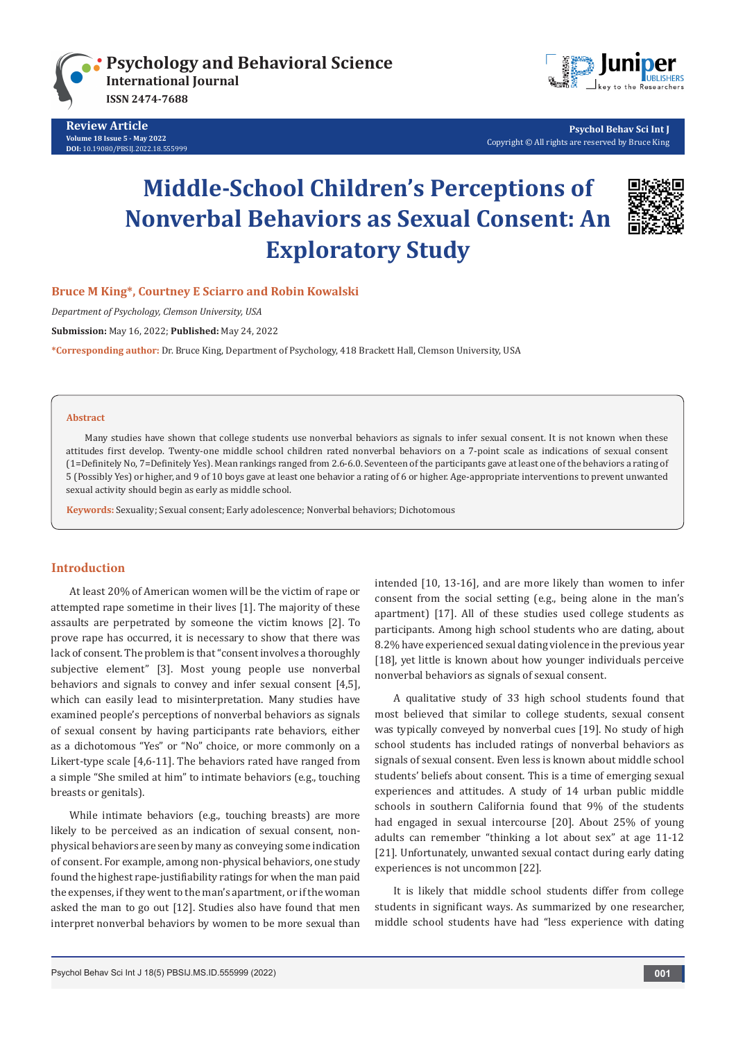

**Review Article Volume 18 Issue 5 - May 2022 [DOI:](http://dx.doi.org/10.19080/PBSIJ.2017.02.555576)** [10.19080/PBSIJ.2022.18.55599](http://dx.doi.org/10.19080/PBSIJ.2022.18.555999)9



 **Psychol Behav Sci Int J** Copyright © All rights are reserved by Bruce King

# **Middle-School Children's Perceptions of Nonverbal Behaviors as Sexual Consent: An Exploratory Study**



**Bruce M King\*, Courtney E Sciarro and Robin Kowalski**

*Department of Psychology, Clemson University, USA*

**Submission:** May 16, 2022; **Published:** May 24, 2022

**\*Corresponding author:** Dr. Bruce King, Department of Psychology, 418 Brackett Hall, Clemson University, USA

#### **Abstract**

Many studies have shown that college students use nonverbal behaviors as signals to infer sexual consent. It is not known when these attitudes first develop. Twenty-one middle school children rated nonverbal behaviors on a 7-point scale as indications of sexual consent (1=Definitely No, 7=Definitely Yes). Mean rankings ranged from 2.6-6.0. Seventeen of the participants gave at least one of the behaviors a rating of 5 (Possibly Yes) or higher, and 9 of 10 boys gave at least one behavior a rating of 6 or higher. Age-appropriate interventions to prevent unwanted sexual activity should begin as early as middle school.

**Keywords:** Sexuality; Sexual consent; Early adolescence; Nonverbal behaviors; Dichotomous

### **Introduction**

At least 20% of American women will be the victim of rape or attempted rape sometime in their lives [1]. The majority of these assaults are perpetrated by someone the victim knows [2]. To prove rape has occurred, it is necessary to show that there was lack of consent. The problem is that "consent involves a thoroughly subjective element" [3]. Most young people use nonverbal behaviors and signals to convey and infer sexual consent [4,5], which can easily lead to misinterpretation. Many studies have examined people's perceptions of nonverbal behaviors as signals of sexual consent by having participants rate behaviors, either as a dichotomous "Yes" or "No" choice, or more commonly on a Likert-type scale [4,6-11]. The behaviors rated have ranged from a simple "She smiled at him" to intimate behaviors (e.g., touching breasts or genitals).

While intimate behaviors (e.g., touching breasts) are more likely to be perceived as an indication of sexual consent, nonphysical behaviors are seen by many as conveying some indication of consent. For example, among non-physical behaviors, one study found the highest rape-justifiability ratings for when the man paid the expenses, if they went to the man's apartment, or if the woman asked the man to go out [12]. Studies also have found that men interpret nonverbal behaviors by women to be more sexual than

intended [10, 13-16], and are more likely than women to infer consent from the social setting (e.g., being alone in the man's apartment) [17]. All of these studies used college students as participants. Among high school students who are dating, about 8.2% have experienced sexual dating violence in the previous year [18], yet little is known about how younger individuals perceive nonverbal behaviors as signals of sexual consent.

A qualitative study of 33 high school students found that most believed that similar to college students, sexual consent was typically conveyed by nonverbal cues [19]. No study of high school students has included ratings of nonverbal behaviors as signals of sexual consent. Even less is known about middle school students' beliefs about consent. This is a time of emerging sexual experiences and attitudes. A study of 14 urban public middle schools in southern California found that 9% of the students had engaged in sexual intercourse [20]. About 25% of young adults can remember "thinking a lot about sex" at age 11-12 [21]. Unfortunately, unwanted sexual contact during early dating experiences is not uncommon [22].

It is likely that middle school students differ from college students in significant ways. As summarized by one researcher, middle school students have had "less experience with dating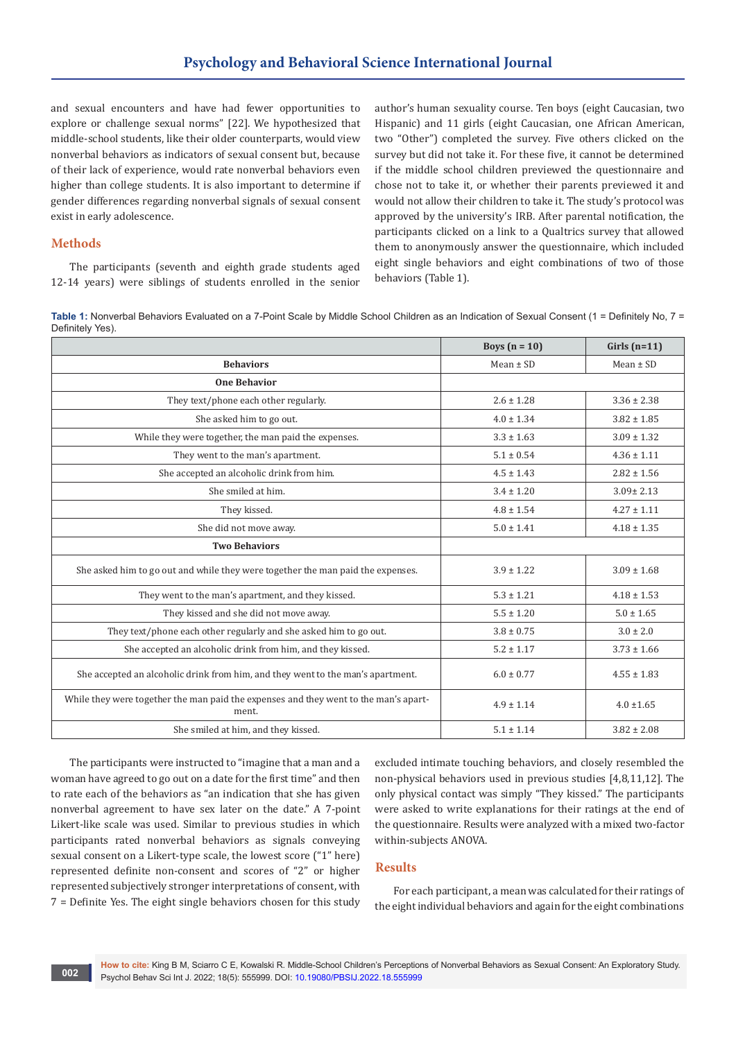and sexual encounters and have had fewer opportunities to explore or challenge sexual norms" [22]. We hypothesized that middle-school students, like their older counterparts, would view nonverbal behaviors as indicators of sexual consent but, because of their lack of experience, would rate nonverbal behaviors even higher than college students. It is also important to determine if gender differences regarding nonverbal signals of sexual consent exist in early adolescence.

## **Methods**

The participants (seventh and eighth grade students aged 12-14 years) were siblings of students enrolled in the senior author's human sexuality course. Ten boys (eight Caucasian, two Hispanic) and 11 girls (eight Caucasian, one African American, two "Other") completed the survey. Five others clicked on the survey but did not take it. For these five, it cannot be determined if the middle school children previewed the questionnaire and chose not to take it, or whether their parents previewed it and would not allow their children to take it. The study's protocol was approved by the university's IRB. After parental notification, the participants clicked on a link to a Qualtrics survey that allowed them to anonymously answer the questionnaire, which included eight single behaviors and eight combinations of two of those behaviors (Table 1).

Table 1: Nonverbal Behaviors Evaluated on a 7-Point Scale by Middle School Children as an Indication of Sexual Consent (1 = Definitely No, 7 = Definitely Yes).

|                                                                                               | Boys $(n = 10)$ | Girls $(n=11)$  |
|-----------------------------------------------------------------------------------------------|-----------------|-----------------|
| <b>Behaviors</b>                                                                              | Mean $\pm$ SD   | Mean $\pm$ SD   |
| <b>One Behavior</b>                                                                           |                 |                 |
| They text/phone each other regularly.                                                         | $2.6 \pm 1.28$  | $3.36 \pm 2.38$ |
| She asked him to go out.                                                                      | $4.0 \pm 1.34$  | $3.82 \pm 1.85$ |
| While they were together, the man paid the expenses.                                          | $3.3 \pm 1.63$  | $3.09 \pm 1.32$ |
| They went to the man's apartment.                                                             | $5.1 \pm 0.54$  | $4.36 \pm 1.11$ |
| She accepted an alcoholic drink from him.                                                     | $4.5 \pm 1.43$  | $2.82 \pm 1.56$ |
| She smiled at him.                                                                            | $3.4 \pm 1.20$  | $3.09 \pm 2.13$ |
| They kissed.                                                                                  | $4.8 \pm 1.54$  | $4.27 \pm 1.11$ |
| She did not move away.                                                                        | $5.0 \pm 1.41$  | $4.18 \pm 1.35$ |
| <b>Two Behaviors</b>                                                                          |                 |                 |
| She asked him to go out and while they were together the man paid the expenses.               | $3.9 \pm 1.22$  | $3.09 \pm 1.68$ |
| They went to the man's apartment, and they kissed.                                            | $5.3 \pm 1.21$  | $4.18 \pm 1.53$ |
| They kissed and she did not move away.                                                        | $5.5 \pm 1.20$  | $5.0 \pm 1.65$  |
| They text/phone each other regularly and she asked him to go out.                             | $3.8 \pm 0.75$  | $3.0 \pm 2.0$   |
| She accepted an alcoholic drink from him, and they kissed.                                    | $5.2 \pm 1.17$  | $3.73 \pm 1.66$ |
| She accepted an alcoholic drink from him, and they went to the man's apartment.               | $6.0 \pm 0.77$  | $4.55 \pm 1.83$ |
| While they were together the man paid the expenses and they went to the man's apart-<br>ment. | $4.9 \pm 1.14$  | $4.0 \pm 1.65$  |
| She smiled at him, and they kissed.                                                           | $5.1 \pm 1.14$  | $3.82 \pm 2.08$ |

The participants were instructed to "imagine that a man and a woman have agreed to go out on a date for the first time" and then to rate each of the behaviors as "an indication that she has given nonverbal agreement to have sex later on the date." A 7-point Likert-like scale was used. Similar to previous studies in which participants rated nonverbal behaviors as signals conveying sexual consent on a Likert-type scale, the lowest score ("1" here) represented definite non-consent and scores of "2" or higher represented subjectively stronger interpretations of consent, with 7 = Definite Yes. The eight single behaviors chosen for this study

excluded intimate touching behaviors, and closely resembled the non-physical behaviors used in previous studies [4,8,11,12]. The only physical contact was simply "They kissed." The participants were asked to write explanations for their ratings at the end of the questionnaire. Results were analyzed with a mixed two-factor within-subjects ANOVA.

### **Results**

For each participant, a mean was calculated for their ratings of the eight individual behaviors and again for the eight combinations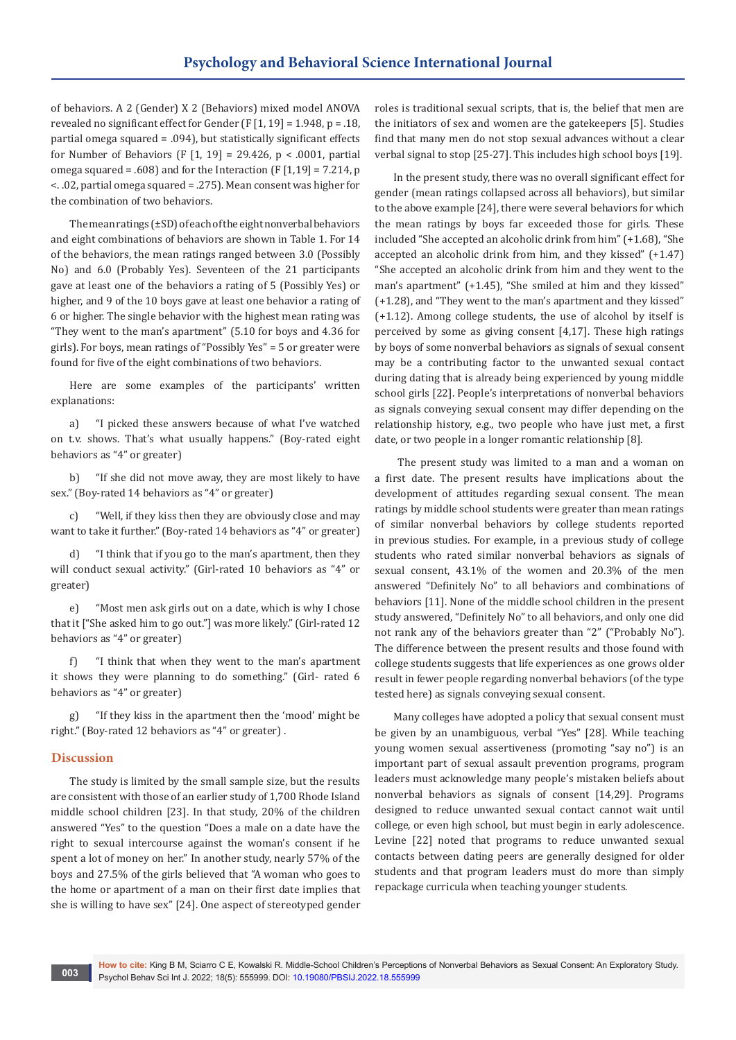of behaviors. A 2 (Gender) X 2 (Behaviors) mixed model ANOVA revealed no significant effect for Gender (F [1, 19] = 1.948, p = .18, partial omega squared = .094), but statistically significant effects for Number of Behaviors (F [1, 19] = 29.426, p < .0001, partial omega squared = .608) and for the Interaction  $(F [1, 19] = 7.214, p$ <. .02, partial omega squared = .275). Mean consent was higher for the combination of two behaviors.

The mean ratings (±SD) of each of the eight nonverbal behaviors and eight combinations of behaviors are shown in Table 1. For 14 of the behaviors, the mean ratings ranged between 3.0 (Possibly No) and 6.0 (Probably Yes). Seventeen of the 21 participants gave at least one of the behaviors a rating of 5 (Possibly Yes) or higher, and 9 of the 10 boys gave at least one behavior a rating of 6 or higher. The single behavior with the highest mean rating was "They went to the man's apartment" (5.10 for boys and 4.36 for girls). For boys, mean ratings of "Possibly Yes" = 5 or greater were found for five of the eight combinations of two behaviors.

Here are some examples of the participants' written explanations:

a) "I picked these answers because of what I've watched on t.v. shows. That's what usually happens." (Boy-rated eight behaviors as "4" or greater)

b) "If she did not move away, they are most likely to have sex." (Boy-rated 14 behaviors as "4" or greater)

c) "Well, if they kiss then they are obviously close and may want to take it further." (Boy-rated 14 behaviors as "4" or greater)

d) "I think that if you go to the man's apartment, then they will conduct sexual activity." (Girl-rated 10 behaviors as "4" or greater)

e) "Most men ask girls out on a date, which is why I chose that it ["She asked him to go out."] was more likely." (Girl-rated 12 behaviors as "4" or greater)

f) "I think that when they went to the man's apartment it shows they were planning to do something." (Girl- rated 6 behaviors as "4" or greater)

g) "If they kiss in the apartment then the 'mood' might be right." (Boy-rated 12 behaviors as "4" or greater) .

### **Discussion**

The study is limited by the small sample size, but the results are consistent with those of an earlier study of 1,700 Rhode Island middle school children [23]. In that study, 20% of the children answered "Yes" to the question "Does a male on a date have the right to sexual intercourse against the woman's consent if he spent a lot of money on her." In another study, nearly 57% of the boys and 27.5% of the girls believed that "A woman who goes to the home or apartment of a man on their first date implies that she is willing to have sex" [24]. One aspect of stereotyped gender

roles is traditional sexual scripts, that is, the belief that men are the initiators of sex and women are the gatekeepers [5]. Studies find that many men do not stop sexual advances without a clear verbal signal to stop [25-27]. This includes high school boys [19].

In the present study, there was no overall significant effect for gender (mean ratings collapsed across all behaviors), but similar to the above example [24], there were several behaviors for which the mean ratings by boys far exceeded those for girls. These included "She accepted an alcoholic drink from him" (+1.68), "She accepted an alcoholic drink from him, and they kissed" (+1.47) "She accepted an alcoholic drink from him and they went to the man's apartment" (+1.45), "She smiled at him and they kissed" (+1.28), and "They went to the man's apartment and they kissed" (+1.12). Among college students, the use of alcohol by itself is perceived by some as giving consent [4,17]. These high ratings by boys of some nonverbal behaviors as signals of sexual consent may be a contributing factor to the unwanted sexual contact during dating that is already being experienced by young middle school girls [22]. People's interpretations of nonverbal behaviors as signals conveying sexual consent may differ depending on the relationship history, e.g., two people who have just met, a first date, or two people in a longer romantic relationship [8].

 The present study was limited to a man and a woman on a first date. The present results have implications about the development of attitudes regarding sexual consent. The mean ratings by middle school students were greater than mean ratings of similar nonverbal behaviors by college students reported in previous studies. For example, in a previous study of college students who rated similar nonverbal behaviors as signals of sexual consent, 43.1% of the women and 20.3% of the men answered "Definitely No" to all behaviors and combinations of behaviors [11]. None of the middle school children in the present study answered, "Definitely No" to all behaviors, and only one did not rank any of the behaviors greater than "2" ("Probably No"). The difference between the present results and those found with college students suggests that life experiences as one grows older result in fewer people regarding nonverbal behaviors (of the type tested here) as signals conveying sexual consent.

Many colleges have adopted a policy that sexual consent must be given by an unambiguous, verbal "Yes" [28]. While teaching young women sexual assertiveness (promoting "say no") is an important part of sexual assault prevention programs, program leaders must acknowledge many people's mistaken beliefs about nonverbal behaviors as signals of consent [14,29]. Programs designed to reduce unwanted sexual contact cannot wait until college, or even high school, but must begin in early adolescence. Levine [22] noted that programs to reduce unwanted sexual contacts between dating peers are generally designed for older students and that program leaders must do more than simply repackage curricula when teaching younger students.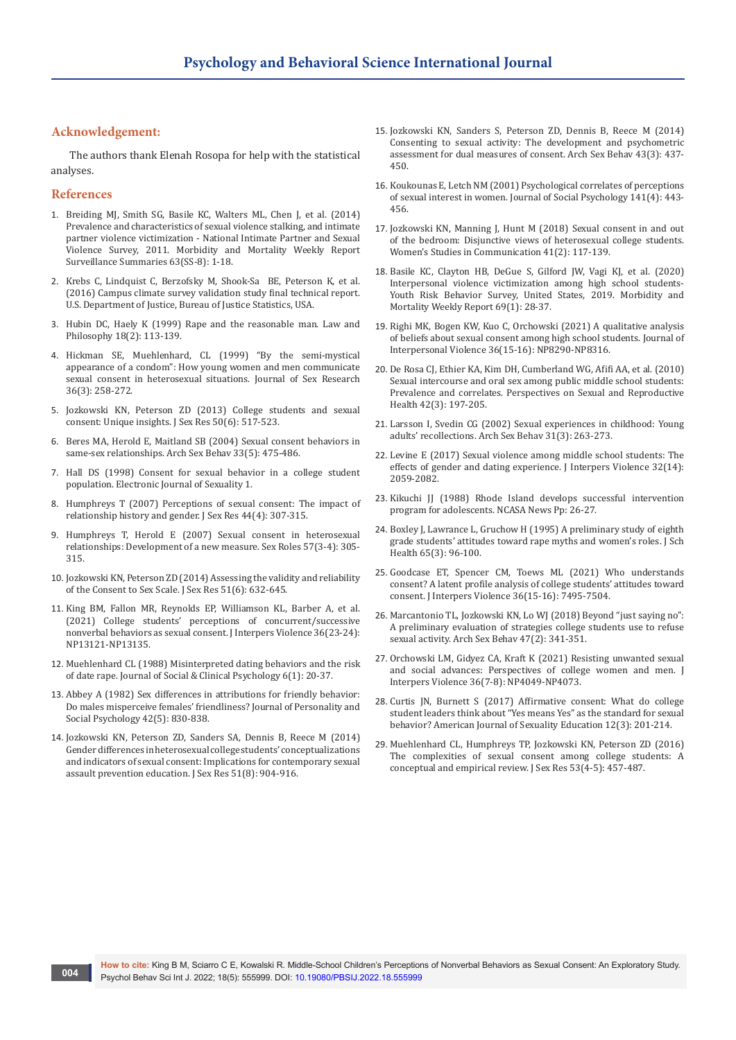## **Acknowledgement:**

The authors thank Elenah Rosopa for help with the statistical analyses.

#### **References**

- 1. Breiding MJ, Smith SG, Basile KC, Walters ML, Chen J, et al. (2014) Prevalence and characteristics of sexual violence stalking, and intimate partner violence victimization - National Intimate Partner and Sexual Violence Survey, 2011. Morbidity and Mortality Weekly Report Surveillance Summaries 63(SS-8): 1-18.
- 2. Krebs C, Lindquist C, Berzofsky M, Shook-Sa BE, Peterson K, et al. (2016) Campus climate survey validation study final technical report. U.S. Department of Justice, Bureau of Justice Statistics, USA.
- 3. [Hubin DC, Haely K \(1999\) Rape and the reasonable man. Law and](https://link.springer.com/article/10.1023/A:1006149922635)  [Philosophy 18\(2\): 113-139.](https://link.springer.com/article/10.1023/A:1006149922635)
- 4. [Hickman SE, Muehlenhard, CL \(1999\) "By the semi-mystical](https://psycnet.apa.org/record/1999-01061-004)  [appearance of a condom": How young women and men communicate](https://psycnet.apa.org/record/1999-01061-004)  [sexual consent in heterosexual situations. Journal of Sex Research](https://psycnet.apa.org/record/1999-01061-004)  [36\(3\): 258-272.](https://psycnet.apa.org/record/1999-01061-004)
- 5. [Jozkowski KN, Peterson ZD \(2013\) College students and sexual](https://pubmed.ncbi.nlm.nih.gov/23039912/)  [consent: Unique insights. J Sex Res 50\(6\): 517-523.](https://pubmed.ncbi.nlm.nih.gov/23039912/)
- 6. [Beres MA, Herold E, Maitland SB \(2004\) Sexual consent behaviors in](https://pubmed.ncbi.nlm.nih.gov/15305118/)  [same-sex relationships. Arch Sex Behav 33\(5\): 475-486.](https://pubmed.ncbi.nlm.nih.gov/15305118/)
- 7. [Hall DS \(1998\) Consent for sexual behavior in a college student](http://www.ejhs.org/volume1/consent1.htm)  [population. Electronic Journal of Sexuality 1.](http://www.ejhs.org/volume1/consent1.htm)
- 8. [Humphreys T \(2007\) Perceptions of sexual consent: The impact of](https://pubmed.ncbi.nlm.nih.gov/18321010/)  [relationship history and gender. J Sex Res 44\(4\): 307-315.](https://pubmed.ncbi.nlm.nih.gov/18321010/)
- 9. [Humphreys T, Herold E \(2007\) Sexual consent in heterosexual](https://link.springer.com/article/10.1007/s11199-007-9264-7)  [relationships: Development of a new measure. Sex Roles 57\(3-4\): 305-](https://link.springer.com/article/10.1007/s11199-007-9264-7) [315.](https://link.springer.com/article/10.1007/s11199-007-9264-7)
- 10. [Jozkowski KN, Peterson ZD \(2014\) Assessing the validity and reliability](https://pubmed.ncbi.nlm.nih.gov/23672426/)  [of the Consent to Sex Scale. J Sex Res 51\(6\): 632-645.](https://pubmed.ncbi.nlm.nih.gov/23672426/)
- 11. [King BM, Fallon MR, Reynolds EP, Williamson KL, Barber A, et al.](https://pubmed.ncbi.nlm.nih.gov/32052687/)  [\(2021\) College students' perceptions of concurrent/successive](https://pubmed.ncbi.nlm.nih.gov/32052687/)  [nonverbal behaviors as sexual consent. J Interpers Violence 36\(23-24\):](https://pubmed.ncbi.nlm.nih.gov/32052687/)  [NP13121-NP13135.](https://pubmed.ncbi.nlm.nih.gov/32052687/)
- 12. [Muehlenhard CL \(1988\) Misinterpreted dating behaviors and the risk](https://psycnet.apa.org/record/1989-08825-001)  [of date rape. Journal of Social & Clinical Psychology 6\(1\): 20-37.](https://psycnet.apa.org/record/1989-08825-001)
- 13. [Abbey A \(1982\) Sex differences in attributions for friendly behavior:](https://psycnet.apa.org/record/1982-32628-001)  [Do males misperceive females' friendliness? Journal of Personality and](https://psycnet.apa.org/record/1982-32628-001)  [Social Psychology 42\(5\): 830-838.](https://psycnet.apa.org/record/1982-32628-001)
- 14. [Jozkowski KN, Peterson ZD, Sanders SA, Dennis B, Reece M \(2014\)](https://pubmed.ncbi.nlm.nih.gov/23919322/)  [Gender differences in heterosexual college students' conceptualizations](https://pubmed.ncbi.nlm.nih.gov/23919322/)  [and indicators of sexual consent: Implications for contemporary sexual](https://pubmed.ncbi.nlm.nih.gov/23919322/)  [assault prevention education. J Sex Res 51\(8\): 904-916.](https://pubmed.ncbi.nlm.nih.gov/23919322/)
- 15. [Jozkowski KN, Sanders S, Peterson ZD, Dennis B, Reece M \(2014\)](https://pubmed.ncbi.nlm.nih.gov/24452630/)  [Consenting to sexual activity: The development and psychometric](https://pubmed.ncbi.nlm.nih.gov/24452630/)  [assessment for dual measures of consent. Arch Sex Behav 43\(3\): 437-](https://pubmed.ncbi.nlm.nih.gov/24452630/) [450.](https://pubmed.ncbi.nlm.nih.gov/24452630/)
- 16. [Koukounas E, Letch NM \(2001\) Psychological correlates of perceptions](https://www.tandfonline.com/doi/abs/10.1080/00224540109600564)  [of sexual interest in women. Journal of Social Psychology 141\(4\): 443-](https://www.tandfonline.com/doi/abs/10.1080/00224540109600564) [456.](https://www.tandfonline.com/doi/abs/10.1080/00224540109600564)
- 17. [Jozkowski KN, Manning J, Hunt M \(2018\) Sexual consent in and out](https://www.tandfonline.com/doi/abs/10.1080/07491409.2018.1470121)  [of the bedroom: Disjunctive views of heterosexual college students.](https://www.tandfonline.com/doi/abs/10.1080/07491409.2018.1470121)  [Women's Studies in Communication 41\(2\): 117-139.](https://www.tandfonline.com/doi/abs/10.1080/07491409.2018.1470121)
- 18. [Basile KC, Clayton HB, DeGue S, Gilford JW, Vagi KJ, et al. \(2020\)](https://www.cdc.gov/mmwr/volumes/69/su/su6901a4.htm)  [Interpersonal violence victimization among high school students-](https://www.cdc.gov/mmwr/volumes/69/su/su6901a4.htm)[Youth Risk Behavior Survey, United States, 2019. Morbidity and](https://www.cdc.gov/mmwr/volumes/69/su/su6901a4.htm)  [Mortality Weekly Report 69\(1\): 28-37.](https://www.cdc.gov/mmwr/volumes/69/su/su6901a4.htm)
- 19. [Righi MK, Bogen KW, Kuo C, Orchowski \(2021\) A qualitative analysis](https://journals.sagepub.com/doi/abs/10.1177/0886260519842855?journalCode=jiva)  [of beliefs about sexual consent among high school students. Journal of](https://journals.sagepub.com/doi/abs/10.1177/0886260519842855?journalCode=jiva)  [Interpersonal Violence 36\(15-16\): NP8290-NP8316.](https://journals.sagepub.com/doi/abs/10.1177/0886260519842855?journalCode=jiva)
- 20. [De Rosa CJ, Ethier KA, Kim DH, Cumberland WG, Afifi AA, et al. \(2010\)](https://onlinelibrary.wiley.com/doi/abs/10.1363/4219710)  [Sexual intercourse and oral sex among public middle school students:](https://onlinelibrary.wiley.com/doi/abs/10.1363/4219710)  [Prevalence and correlates. Perspectives on Sexual and Reproductive](https://onlinelibrary.wiley.com/doi/abs/10.1363/4219710)  [Health 42\(3\): 197-205.](https://onlinelibrary.wiley.com/doi/abs/10.1363/4219710)
- 21. [Larsson I, Svedin CG \(2002\) Sexual experiences in childhood: Young](https://pubmed.ncbi.nlm.nih.gov/12049022/)  [adults' recollections. Arch Sex Behav 31\(3\): 263-273.](https://pubmed.ncbi.nlm.nih.gov/12049022/)
- 22. [Levine E \(2017\) Sexual violence among middle school students: The](https://pubmed.ncbi.nlm.nih.gov/26112969/)  [effects of gender and dating experience. J Interpers Violence 32\(14\):](https://pubmed.ncbi.nlm.nih.gov/26112969/)  [2059-2082.](https://pubmed.ncbi.nlm.nih.gov/26112969/)
- 23. Kikuchi JJ (1988) Rhode Island develops successful intervention program for adolescents. NCASA News Pp: 26-27.
- 24. [Boxley J, Lawrance L, Gruchow H \(1995\) A preliminary study of eighth](https://pubmed.ncbi.nlm.nih.gov/7609471/)  [grade students' attitudes toward rape myths and women's roles. J Sch](https://pubmed.ncbi.nlm.nih.gov/7609471/)  [Health 65\(3\): 96-100.](https://pubmed.ncbi.nlm.nih.gov/7609471/)
- 25. [Goodcase ET, Spencer CM, Toews ML \(2021\) Who understands](https://pubmed.ncbi.nlm.nih.gov/30873896/)  [consent? A latent profile analysis of college students' attitudes toward](https://pubmed.ncbi.nlm.nih.gov/30873896/)  [consent. J Interpers Violence 36\(15-16\): 7495-7504.](https://pubmed.ncbi.nlm.nih.gov/30873896/)
- 26. [Marcantonio TL, Jozkowski KN, Lo WJ \(2018\) Beyond "just saying no":](https://pubmed.ncbi.nlm.nih.gov/29297109/)  [A preliminary evaluation of strategies college students use to refuse](https://pubmed.ncbi.nlm.nih.gov/29297109/)  [sexual activity. Arch Sex Behav 47\(2\): 341-351.](https://pubmed.ncbi.nlm.nih.gov/29297109/)
- 27. [Orchowski LM, Gidyez CA, Kraft K \(2021\) Resisting unwanted sexual](https://pubmed.ncbi.nlm.nih.gov/29936893/)  [and social advances: Perspectives of college women and men. J](https://pubmed.ncbi.nlm.nih.gov/29936893/)  [Interpers Violence 36\(7-8\): NP4049-NP4073.](https://pubmed.ncbi.nlm.nih.gov/29936893/)
- 28. [Curtis JN, Burnett S \(2017\) Affirmative consent: What do college](https://psycnet.apa.org/record/2017-55523-001)  [student leaders think about "Yes means Yes" as the standard for sexual](https://psycnet.apa.org/record/2017-55523-001)  [behavior? American Journal of Sexuality Education 12\(3\): 201-214.](https://psycnet.apa.org/record/2017-55523-001)
- 29. [Muehlenhard CL, Humphreys TP, Jozkowski KN, Peterson ZD \(2016\)](https://pubmed.ncbi.nlm.nih.gov/27044475/)  [The complexities of sexual consent among college students: A](https://pubmed.ncbi.nlm.nih.gov/27044475/)  [conceptual and empirical review. J Sex Res 53\(4-5\): 457-487.](https://pubmed.ncbi.nlm.nih.gov/27044475/)